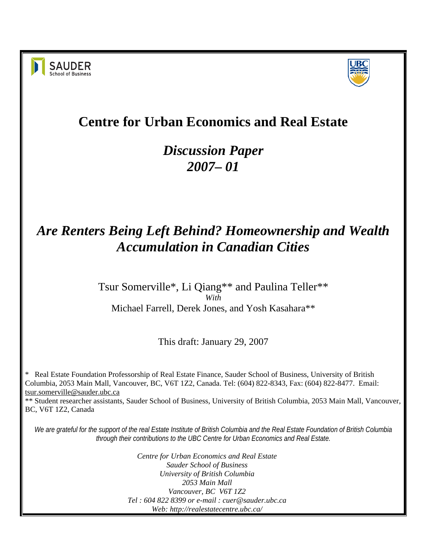



# **Centre for Urban Economics and Real Estate**

# *Discussion Paper 2007– 01*

# *Are Renters Being Left Behind? Homeownership and Wealth Accumulation in Canadian Cities*

#### Tsur Somerville\*, Li Qiang\*\* and Paulina Teller\*\* *With*  Michael Farrell, Derek Jones, and Yosh Kasahara\*\*

This draft: January 29, 2007

\* Real Estate Foundation Professorship of Real Estate Finance, Sauder School of Business, University of British Columbia, 2053 Main Mall, Vancouver, BC, V6T 1Z2, Canada. Tel: (604) 822-8343, Fax: (604) 822-8477. Email: tsur.somerville@sauder.ubc.ca

\*\* Student researcher assistants, Sauder School of Business, University of British Columbia, 2053 Main Mall, Vancouver, BC, V6T 1Z2, Canada

*We are grateful for the support of the real Estate Institute of British Columbia and the Real Estate Foundation of British Columbia through their contributions to the UBC Centre for Urban Economics and Real Estate.*

> *Centre for Urban Economics and Real Estate Sauder School of Business University of British Columbia 2053 Main Mall Vancouver, BC V6T 1Z2 Tel : 604 822 8399 or e-mail : cuer@sauder.ubc.ca Web: http://realestatecentre.ubc.ca/*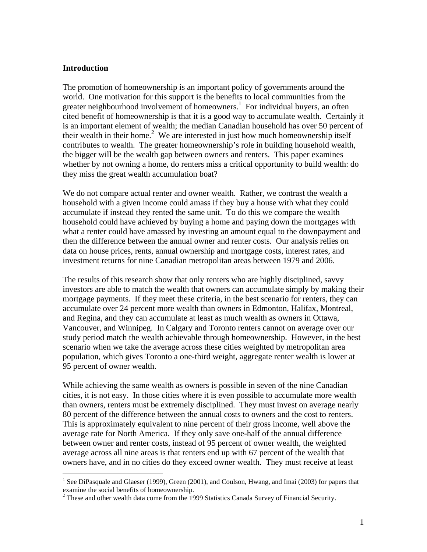#### **Introduction**

1

The promotion of homeownership is an important policy of governments around the world. One motivation for this support is the benefits to local communities from the greater neighbourhood involvement of homeowners.<sup>1</sup> For individual buyers, an often cited benefit of homeownership is that it is a good way to accumulate wealth. Certainly it is an important element of wealth; the median Canadian household has over 50 percent of their wealth in their home.<sup>2</sup> We are interested in just how much homeownership itself contributes to wealth. The greater homeownership's role in building household wealth, the bigger will be the wealth gap between owners and renters. This paper examines whether by not owning a home, do renters miss a critical opportunity to build wealth: do they miss the great wealth accumulation boat?

We do not compare actual renter and owner wealth. Rather, we contrast the wealth a household with a given income could amass if they buy a house with what they could accumulate if instead they rented the same unit. To do this we compare the wealth household could have achieved by buying a home and paying down the mortgages with what a renter could have amassed by investing an amount equal to the downpayment and then the difference between the annual owner and renter costs. Our analysis relies on data on house prices, rents, annual ownership and mortgage costs, interest rates, and investment returns for nine Canadian metropolitan areas between 1979 and 2006.

The results of this research show that only renters who are highly disciplined, savvy investors are able to match the wealth that owners can accumulate simply by making their mortgage payments. If they meet these criteria, in the best scenario for renters, they can accumulate over 24 percent more wealth than owners in Edmonton, Halifax, Montreal, and Regina, and they can accumulate at least as much wealth as owners in Ottawa, Vancouver, and Winnipeg. In Calgary and Toronto renters cannot on average over our study period match the wealth achievable through homeownership. However, in the best scenario when we take the average across these cities weighted by metropolitan area population, which gives Toronto a one-third weight, aggregate renter wealth is lower at 95 percent of owner wealth.

While achieving the same wealth as owners is possible in seven of the nine Canadian cities, it is not easy. In those cities where it is even possible to accumulate more wealth than owners, renters must be extremely disciplined. They must invest on average nearly 80 percent of the difference between the annual costs to owners and the cost to renters. This is approximately equivalent to nine percent of their gross income, well above the average rate for North America. If they only save one-half of the annual difference between owner and renter costs, instead of 95 percent of owner wealth, the weighted average across all nine areas is that renters end up with 67 percent of the wealth that owners have, and in no cities do they exceed owner wealth. They must receive at least

<sup>&</sup>lt;sup>1</sup> See DiPasquale and Glaeser (1999), Green (2001), and Coulson, Hwang, and Imai (2003) for papers that examine the social benefits of homeownership.

 $2^2$  These and other wealth data come from the 1999 Statistics Canada Survey of Financial Security.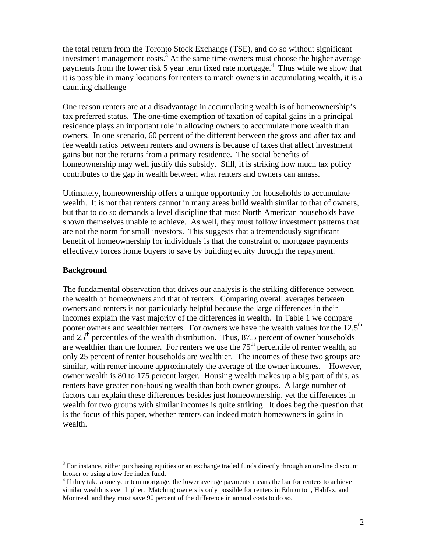the total return from the Toronto Stock Exchange (TSE), and do so without significant investment management costs.<sup>3</sup> At the same time owners must choose the higher average payments from the lower risk 5 year term fixed rate mortgage.<sup>4</sup> Thus while we show that it is possible in many locations for renters to match owners in accumulating wealth, it is a daunting challenge

One reason renters are at a disadvantage in accumulating wealth is of homeownership's tax preferred status. The one-time exemption of taxation of capital gains in a principal residence plays an important role in allowing owners to accumulate more wealth than owners. In one scenario, 60 percent of the different between the gross and after tax and fee wealth ratios between renters and owners is because of taxes that affect investment gains but not the returns from a primary residence. The social benefits of homeownership may well justify this subsidy. Still, it is striking how much tax policy contributes to the gap in wealth between what renters and owners can amass.

Ultimately, homeownership offers a unique opportunity for households to accumulate wealth. It is not that renters cannot in many areas build wealth similar to that of owners, but that to do so demands a level discipline that most North American households have shown themselves unable to achieve. As well, they must follow investment patterns that are not the norm for small investors. This suggests that a tremendously significant benefit of homeownership for individuals is that the constraint of mortgage payments effectively forces home buyers to save by building equity through the repayment.

#### **Background**

1

The fundamental observation that drives our analysis is the striking difference between the wealth of homeowners and that of renters. Comparing overall averages between owners and renters is not particularly helpful because the large differences in their incomes explain the vast majority of the differences in wealth. In Table 1 we compare poorer owners and wealthier renters. For owners we have the wealth values for the  $12.5<sup>th</sup>$ and  $25<sup>th</sup>$  percentiles of the wealth distribution. Thus, 87.5 percent of owner households are wealthier than the former. For renters we use the  $75<sup>th</sup>$  percentile of renter wealth, so only 25 percent of renter households are wealthier. The incomes of these two groups are similar, with renter income approximately the average of the owner incomes. However, owner wealth is 80 to 175 percent larger. Housing wealth makes up a big part of this, as renters have greater non-housing wealth than both owner groups. A large number of factors can explain these differences besides just homeownership, yet the differences in wealth for two groups with similar incomes is quite striking. It does beg the question that is the focus of this paper, whether renters can indeed match homeowners in gains in wealth.

<sup>&</sup>lt;sup>3</sup> For instance, either purchasing equities or an exchange traded funds directly through an on-line discount broker or using a low fee index fund.

<sup>&</sup>lt;sup>4</sup> If they take a one year tem mortgage, the lower average payments means the bar for renters to achieve similar wealth is even higher. Matching owners is only possible for renters in Edmonton, Halifax, and Montreal, and they must save 90 percent of the difference in annual costs to do so.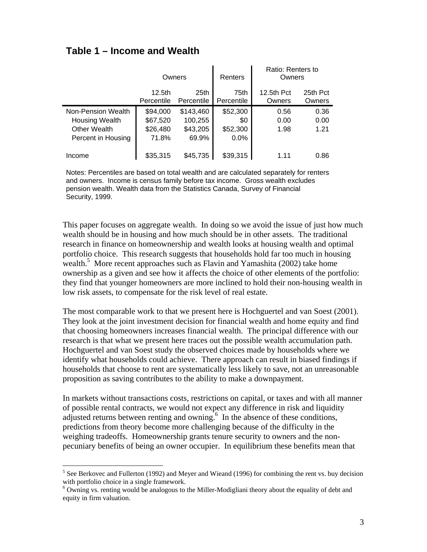### **Table 1 – Income and Wealth**

|                       | Owners             |                  | Renters    | Ratio: Renters to<br>Owners |          |
|-----------------------|--------------------|------------------|------------|-----------------------------|----------|
|                       | 12.5 <sub>th</sub> | 25 <sub>th</sub> | 75th       | 12.5th Pct                  | 25th Pct |
|                       | Percentile         | Percentile       | Percentile | Owners                      | Owners   |
| Non-Pension Wealth    | \$94,000           | \$143,460        | \$52,300   | 0.56                        | 0.36     |
| <b>Housing Wealth</b> | \$67,520           | 100,255          | \$0        | 0.00                        | 0.00     |
| <b>Other Wealth</b>   | \$26,480           | \$43,205         | \$52,300   | 1.98                        | 1.21     |
| Percent in Housing    | 71.8%              | 69.9%            | 0.0%       |                             |          |
|                       |                    |                  |            |                             |          |
| Income                | \$35,315           | \$45,735         | \$39,315   | 1.11                        | 0.86     |

Notes: Percentiles are based on total wealth and are calculated separately for renters and owners. Income is census family before tax income. Gross wealth excludes pension wealth. Wealth data from the Statistics Canada, Survey of Financial Security, 1999.

This paper focuses on aggregate wealth. In doing so we avoid the issue of just how much wealth should be in housing and how much should be in other assets. The traditional research in finance on homeownership and wealth looks at housing wealth and optimal portfolio choice. This research suggests that households hold far too much in housing wealth.<sup>5</sup> More recent approaches such as Flavin and Yamashita (2002) take home ownership as a given and see how it affects the choice of other elements of the portfolio: they find that younger homeowners are more inclined to hold their non-housing wealth in low risk assets, to compensate for the risk level of real estate.

The most comparable work to that we present here is Hochguertel and van Soest (2001). They look at the joint investment decision for financial wealth and home equity and find that choosing homeowners increases financial wealth. The principal difference with our research is that what we present here traces out the possible wealth accumulation path. Hochguertel and van Soest study the observed choices made by households where we identify what households could achieve. There approach can result in biased findings if households that choose to rent are systematically less likely to save, not an unreasonable proposition as saving contributes to the ability to make a downpayment.

In markets without transactions costs, restrictions on capital, or taxes and with all manner of possible rental contracts, we would not expect any difference in risk and liquidity adjusted returns between renting and owning.<sup>6</sup> In the absence of these conditions, predictions from theory become more challenging because of the difficulty in the weighing tradeoffs. Homeownership grants tenure security to owners and the nonpecuniary benefits of being an owner occupier. In equilibrium these benefits mean that

 $\overline{a}$ 

 $<sup>5</sup>$  See Berkovec and Fullerton (1992) and Meyer and Wieand (1996) for combining the rent vs. buy decision</sup> with portfolio choice in a single framework.

<sup>&</sup>lt;sup>6</sup> Owning vs. renting would be analogous to the Miller-Modigliani theory about the equality of debt and equity in firm valuation.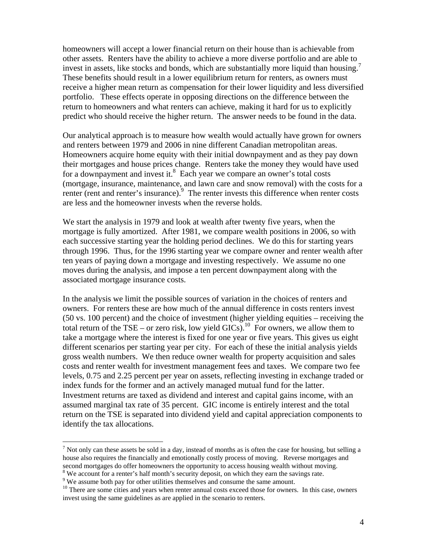homeowners will accept a lower financial return on their house than is achievable from other assets. Renters have the ability to achieve a more diverse portfolio and are able to invest in assets, like stocks and bonds, which are substantially more liquid than housing.<sup>7</sup> These benefits should result in a lower equilibrium return for renters, as owners must receive a higher mean return as compensation for their lower liquidity and less diversified portfolio. These effects operate in opposing directions on the difference between the return to homeowners and what renters can achieve, making it hard for us to explicitly predict who should receive the higher return. The answer needs to be found in the data.

Our analytical approach is to measure how wealth would actually have grown for owners and renters between 1979 and 2006 in nine different Canadian metropolitan areas. Homeowners acquire home equity with their initial downpayment and as they pay down their mortgages and house prices change. Renters take the money they would have used for a downpayment and invest it. $8$  Each year we compare an owner's total costs (mortgage, insurance, maintenance, and lawn care and snow removal) with the costs for a renter (rent and renter's insurance).<sup>9</sup> The renter invests this difference when renter costs are less and the homeowner invests when the reverse holds.

We start the analysis in 1979 and look at wealth after twenty five years, when the mortgage is fully amortized. After 1981, we compare wealth positions in 2006, so with each successive starting year the holding period declines. We do this for starting years through 1996. Thus, for the 1996 starting year we compare owner and renter wealth after ten years of paying down a mortgage and investing respectively. We assume no one moves during the analysis, and impose a ten percent downpayment along with the associated mortgage insurance costs.

In the analysis we limit the possible sources of variation in the choices of renters and owners. For renters these are how much of the annual difference in costs renters invest (50 vs. 100 percent) and the choice of investment (higher yielding equities – receiving the total return of the TSE – or zero risk, low yield GICs).<sup>10</sup> For owners, we allow them to take a mortgage where the interest is fixed for one year or five years. This gives us eight different scenarios per starting year per city. For each of these the initial analysis yields gross wealth numbers. We then reduce owner wealth for property acquisition and sales costs and renter wealth for investment management fees and taxes. We compare two fee levels, 0.75 and 2.25 percent per year on assets, reflecting investing in exchange traded or index funds for the former and an actively managed mutual fund for the latter. Investment returns are taxed as dividend and interest and capital gains income, with an assumed marginal tax rate of 35 percent. GIC income is entirely interest and the total return on the TSE is separated into dividend yield and capital appreciation components to identify the tax allocations.

 $\overline{a}$ 

<sup>&</sup>lt;sup>7</sup> Not only can these assets be sold in a day, instead of months as is often the case for housing, but selling a house also requires the financially and emotionally costly process of moving. Reverse mortgages and second mortgages do offer homeowners the opportunity to access housing wealth without moving.

<sup>&</sup>lt;sup>8</sup> We account for a renter's half month's security deposit, on which they earn the savings rate.

<sup>&</sup>lt;sup>9</sup> We assume both pay for other utilities themselves and consume the same amount.

<sup>&</sup>lt;sup>10</sup> There are some cities and years when renter annual costs exceed those for owners. In this case, owners invest using the same guidelines as are applied in the scenario to renters.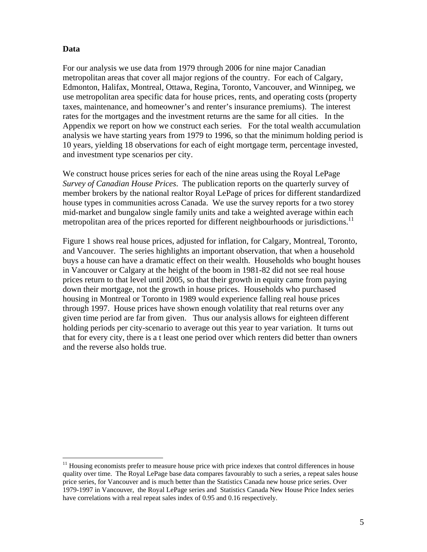#### **Data**

1

For our analysis we use data from 1979 through 2006 for nine major Canadian metropolitan areas that cover all major regions of the country. For each of Calgary, Edmonton, Halifax, Montreal, Ottawa, Regina, Toronto, Vancouver, and Winnipeg, we use metropolitan area specific data for house prices, rents, and operating costs (property taxes, maintenance, and homeowner's and renter's insurance premiums). The interest rates for the mortgages and the investment returns are the same for all cities. In the Appendix we report on how we construct each series. For the total wealth accumulation analysis we have starting years from 1979 to 1996, so that the minimum holding period is 10 years, yielding 18 observations for each of eight mortgage term, percentage invested, and investment type scenarios per city.

We construct house prices series for each of the nine areas using the Royal LePage *Survey of Canadian House Prices*. The publication reports on the quarterly survey of member brokers by the national realtor Royal LePage of prices for different standardized house types in communities across Canada. We use the survey reports for a two storey mid-market and bungalow single family units and take a weighted average within each metropolitan area of the prices reported for different neighbourhoods or jurisdictions.<sup>11</sup>

Figure 1 shows real house prices, adjusted for inflation, for Calgary, Montreal, Toronto, and Vancouver. The series highlights an important observation, that when a household buys a house can have a dramatic effect on their wealth. Households who bought houses in Vancouver or Calgary at the height of the boom in 1981-82 did not see real house prices return to that level until 2005, so that their growth in equity came from paying down their mortgage, not the growth in house prices. Households who purchased housing in Montreal or Toronto in 1989 would experience falling real house prices through 1997. House prices have shown enough volatility that real returns over any given time period are far from given. Thus our analysis allows for eighteen different holding periods per city-scenario to average out this year to year variation. It turns out that for every city, there is a t least one period over which renters did better than owners and the reverse also holds true.

<sup>&</sup>lt;sup>11</sup> Housing economists prefer to measure house price with price indexes that control differences in house quality over time. The Royal LePage base data compares favourably to such a series, a repeat sales house price series, for Vancouver and is much better than the Statistics Canada new house price series. Over 1979-1997 in Vancouver, the Royal LePage series and Statistics Canada New House Price Index series have correlations with a real repeat sales index of 0.95 and 0.16 respectively.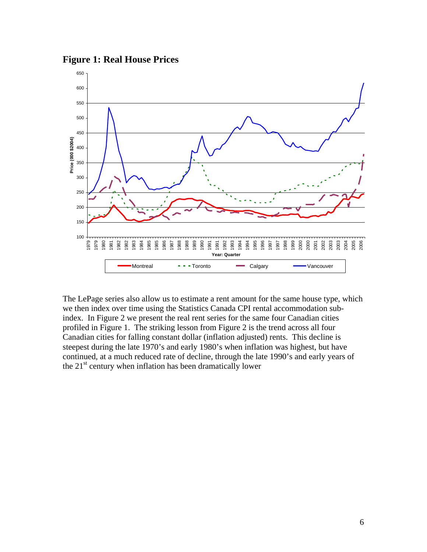**Figure 1: Real House Prices** 



The LePage series also allow us to estimate a rent amount for the same house type, which we then index over time using the Statistics Canada CPI rental accommodation subindex. In Figure 2 we present the real rent series for the same four Canadian cities profiled in Figure 1. The striking lesson from Figure 2 is the trend across all four Canadian cities for falling constant dollar (inflation adjusted) rents. This decline is steepest during the late 1970's and early 1980's when inflation was highest, but have continued, at a much reduced rate of decline, through the late 1990's and early years of the  $21<sup>st</sup>$  century when inflation has been dramatically lower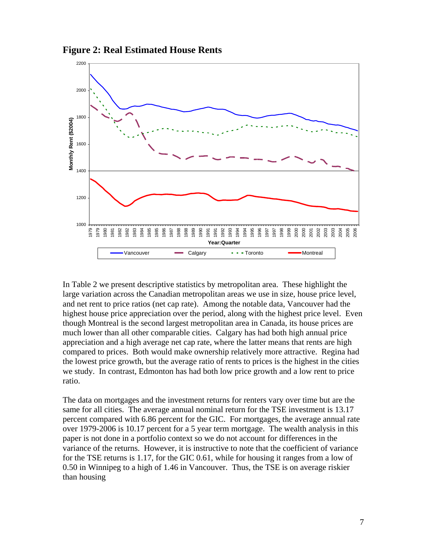



In Table 2 we present descriptive statistics by metropolitan area. These highlight the large variation across the Canadian metropolitan areas we use in size, house price level, and net rent to price ratios (net cap rate). Among the notable data, Vancouver had the highest house price appreciation over the period, along with the highest price level. Even though Montreal is the second largest metropolitan area in Canada, its house prices are much lower than all other comparable cities. Calgary has had both high annual price appreciation and a high average net cap rate, where the latter means that rents are high compared to prices. Both would make ownership relatively more attractive. Regina had the lowest price growth, but the average ratio of rents to prices is the highest in the cities we study. In contrast, Edmonton has had both low price growth and a low rent to price ratio.

The data on mortgages and the investment returns for renters vary over time but are the same for all cities. The average annual nominal return for the TSE investment is 13.17 percent compared with 6.86 percent for the GIC. For mortgages, the average annual rate over 1979-2006 is 10.17 percent for a 5 year term mortgage. The wealth analysis in this paper is not done in a portfolio context so we do not account for differences in the variance of the returns. However, it is instructive to note that the coefficient of variance for the TSE returns is 1.17, for the GIC 0.61, while for housing it ranges from a low of 0.50 in Winnipeg to a high of 1.46 in Vancouver. Thus, the TSE is on average riskier than housing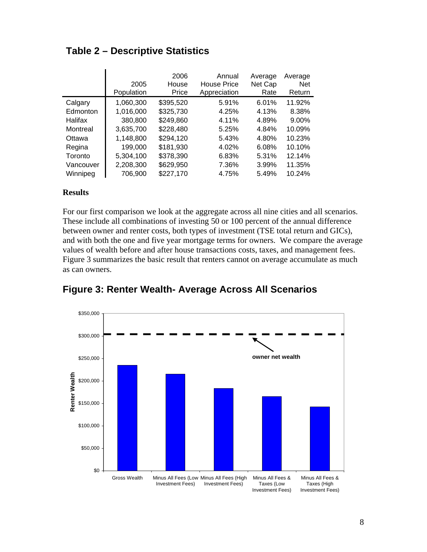|           | 2005<br>Population | 2006<br>House<br>Price | Annual<br><b>House Price</b><br>Appreciation | Average<br>Net Cap<br>Rate | Average<br><b>Net</b><br>Return |
|-----------|--------------------|------------------------|----------------------------------------------|----------------------------|---------------------------------|
| Calgary   | 1,060,300          | \$395,520              | 5.91%                                        | 6.01%                      | 11.92%                          |
| Edmonton  | 1,016,000          | \$325,730              | 4.25%                                        | 4.13%                      | 8.38%                           |
| Halifax   | 380,800            | \$249,860              | 4.11%                                        | 4.89%                      | 9.00%                           |
| Montreal  | 3,635,700          | \$228,480              | 5.25%                                        | 4.84%                      | 10.09%                          |
| Ottawa    | 1,148,800          | \$294,120              | 5.43%                                        | 4.80%                      | 10.23%                          |
| Regina    | 199,000            | \$181,930              | 4.02%                                        | 6.08%                      | 10.10%                          |
| Toronto   | 5,304,100          | \$378,390              | 6.83%                                        | 5.31%                      | 12.14%                          |
| Vancouver | 2,208,300          | \$629,950              | 7.36%                                        | 3.99%                      | 11.35%                          |
| Winnipeg  | 706,900            | \$227,170              | 4.75%                                        | 5.49%                      | 10.24%                          |

### **Table 2 – Descriptive Statistics**

#### **Results**

For our first comparison we look at the aggregate across all nine cities and all scenarios. These include all combinations of investing 50 or 100 percent of the annual difference between owner and renter costs, both types of investment (TSE total return and GICs), and with both the one and five year mortgage terms for owners. We compare the average values of wealth before and after house transactions costs, taxes, and management fees. Figure 3 summarizes the basic result that renters cannot on average accumulate as much as can owners.



### **Figure 3: Renter Wealth- Average Across All Scenarios**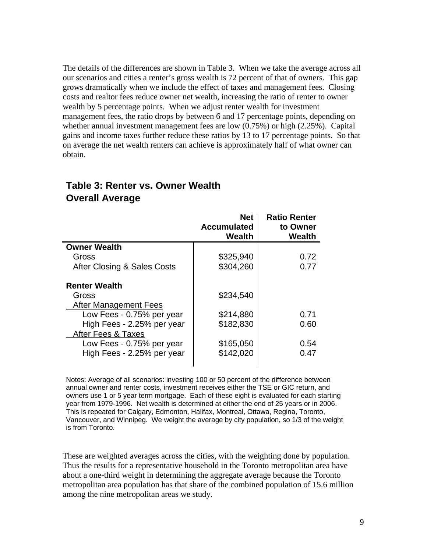The details of the differences are shown in Table 3. When we take the average across all our scenarios and cities a renter's gross wealth is 72 percent of that of owners. This gap grows dramatically when we include the effect of taxes and management fees. Closing costs and realtor fees reduce owner net wealth, increasing the ratio of renter to owner wealth by 5 percentage points. When we adjust renter wealth for investment management fees, the ratio drops by between 6 and 17 percentage points, depending on whether annual investment management fees are low (0.75%) or high (2.25%). Capital gains and income taxes further reduce these ratios by 13 to 17 percentage points. So that on average the net wealth renters can achieve is approximately half of what owner can obtain.

#### **Net Accumulated Wealth Ratio Renter to Owner Wealth Owner Wealth**  Gross 1 \$325,940 0.72 After Closing & Sales Costs  $\left| \right|$  \$304,260  $\left| \right|$  0.77 **Renter Wealth**  Gross \$234,540 After Management Fees Low Fees - 0.75% per year | \$214,880 | 0.71 High Fees - 2.25% per year  $\vert$  \$182,830  $\vert$  0.60 After Fees & Taxes Low Fees - 0.75% per year  $\vert$  \$165,050 | 0.54 High Fees - 2.25% per year  $\vert$  \$142,020 | 0.47

### **Table 3: Renter vs. Owner Wealth Overall Average**

Notes: Average of all scenarios: investing 100 or 50 percent of the difference between annual owner and renter costs, investment receives either the TSE or GIC return, and owners use 1 or 5 year term mortgage. Each of these eight is evaluated for each starting year from 1979-1996. Net wealth is determined at either the end of 25 years or in 2006. This is repeated for Calgary, Edmonton, Halifax, Montreal, Ottawa, Regina, Toronto, Vancouver, and Winnipeg. We weight the average by city population, so 1/3 of the weight is from Toronto.

These are weighted averages across the cities, with the weighting done by population. Thus the results for a representative household in the Toronto metropolitan area have about a one-third weight in determining the aggregate average because the Toronto metropolitan area population has that share of the combined population of 15.6 million among the nine metropolitan areas we study.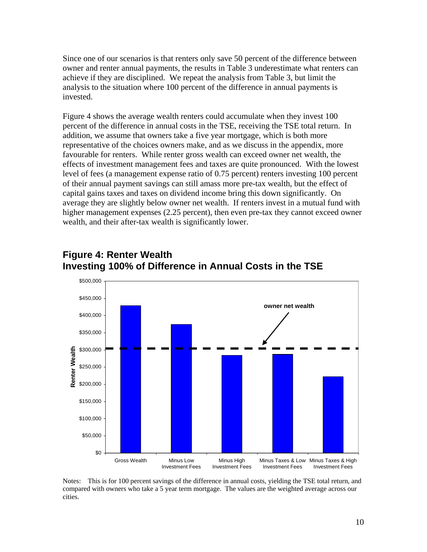Since one of our scenarios is that renters only save 50 percent of the difference between owner and renter annual payments, the results in Table 3 underestimate what renters can achieve if they are disciplined. We repeat the analysis from Table 3, but limit the analysis to the situation where 100 percent of the difference in annual payments is invested.

Figure 4 shows the average wealth renters could accumulate when they invest 100 percent of the difference in annual costs in the TSE, receiving the TSE total return. In addition, we assume that owners take a five year mortgage, which is both more representative of the choices owners make, and as we discuss in the appendix, more favourable for renters. While renter gross wealth can exceed owner net wealth, the effects of investment management fees and taxes are quite pronounced. With the lowest level of fees (a management expense ratio of 0.75 percent) renters investing 100 percent of their annual payment savings can still amass more pre-tax wealth, but the effect of capital gains taxes and taxes on dividend income bring this down significantly. On average they are slightly below owner net wealth. If renters invest in a mutual fund with higher management expenses (2.25 percent), then even pre-tax they cannot exceed owner wealth, and their after-tax wealth is significantly lower.



## **Figure 4: Renter Wealth Investing 100% of Difference in Annual Costs in the TSE**

Notes: This is for 100 percent savings of the difference in annual costs, yielding the TSE total return, and compared with owners who take a 5 year term mortgage. The values are the weighted average across our cities.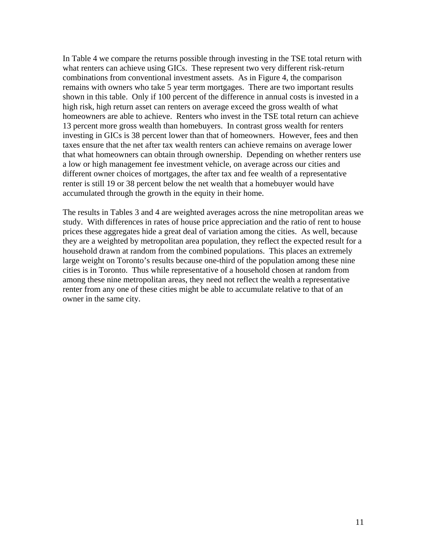In Table 4 we compare the returns possible through investing in the TSE total return with what renters can achieve using GICs. These represent two very different risk-return combinations from conventional investment assets. As in Figure 4, the comparison remains with owners who take 5 year term mortgages. There are two important results shown in this table. Only if 100 percent of the difference in annual costs is invested in a high risk, high return asset can renters on average exceed the gross wealth of what homeowners are able to achieve. Renters who invest in the TSE total return can achieve 13 percent more gross wealth than homebuyers. In contrast gross wealth for renters investing in GICs is 38 percent lower than that of homeowners. However, fees and then taxes ensure that the net after tax wealth renters can achieve remains on average lower that what homeowners can obtain through ownership. Depending on whether renters use a low or high management fee investment vehicle, on average across our cities and different owner choices of mortgages, the after tax and fee wealth of a representative renter is still 19 or 38 percent below the net wealth that a homebuyer would have accumulated through the growth in the equity in their home.

The results in Tables 3 and 4 are weighted averages across the nine metropolitan areas we study. With differences in rates of house price appreciation and the ratio of rent to house prices these aggregates hide a great deal of variation among the cities. As well, because they are a weighted by metropolitan area population, they reflect the expected result for a household drawn at random from the combined populations. This places an extremely large weight on Toronto's results because one-third of the population among these nine cities is in Toronto. Thus while representative of a household chosen at random from among these nine metropolitan areas, they need not reflect the wealth a representative renter from any one of these cities might be able to accumulate relative to that of an owner in the same city.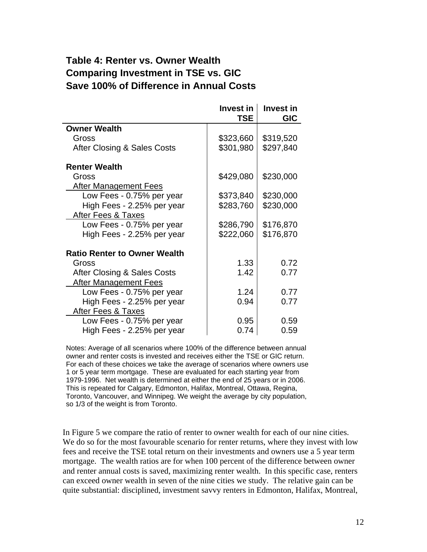### **Table 4: Renter vs. Owner Wealth Comparing Investment in TSE vs. GIC Save 100% of Difference in Annual Costs**

|                                     | Invest in<br>TSE. | <b>Invest in</b><br><b>GIC</b> |
|-------------------------------------|-------------------|--------------------------------|
| <b>Owner Wealth</b>                 |                   |                                |
| Gross                               | \$323,660         | \$319,520                      |
| After Closing & Sales Costs         | \$301,980         | \$297,840                      |
| <b>Renter Wealth</b>                |                   |                                |
| Gross                               | \$429,080         | \$230,000                      |
| <b>After Management Fees</b>        |                   |                                |
| Low Fees - 0.75% per year           | \$373,840         | \$230,000                      |
| High Fees - 2.25% per year          | \$283,760         | \$230,000                      |
| After Fees & Taxes                  |                   |                                |
| Low Fees - 0.75% per year           | \$286,790         | \$176,870                      |
| High Fees - 2.25% per year          | \$222,060         | \$176,870                      |
| <b>Ratio Renter to Owner Wealth</b> |                   |                                |
| Gross                               | 1.33              | 0.72                           |
| After Closing & Sales Costs         | 1.42              | 0.77                           |
| <b>After Management Fees</b>        |                   |                                |
| Low Fees - 0.75% per year           | 1.24              | 0.77                           |
| High Fees - 2.25% per year          | 0.94              | 0.77                           |
| After Fees & Taxes                  |                   |                                |
| Low Fees - 0.75% per year           | 0.95              | 0.59                           |
| High Fees - 2.25% per year          | 0.74              | 0.59                           |

Notes: Average of all scenarios where 100% of the difference between annual owner and renter costs is invested and receives either the TSE or GIC return. For each of these choices we take the average of scenarios where owners use 1 or 5 year term mortgage. These are evaluated for each starting year from 1979-1996. Net wealth is determined at either the end of 25 years or in 2006. This is repeated for Calgary, Edmonton, Halifax, Montreal, Ottawa, Regina, Toronto, Vancouver, and Winnipeg. We weight the average by city population, so 1/3 of the weight is from Toronto.

In Figure 5 we compare the ratio of renter to owner wealth for each of our nine cities. We do so for the most favourable scenario for renter returns, where they invest with low fees and receive the TSE total return on their investments and owners use a 5 year term mortgage. The wealth ratios are for when 100 percent of the difference between owner and renter annual costs is saved, maximizing renter wealth. In this specific case, renters can exceed owner wealth in seven of the nine cities we study. The relative gain can be quite substantial: disciplined, investment savvy renters in Edmonton, Halifax, Montreal,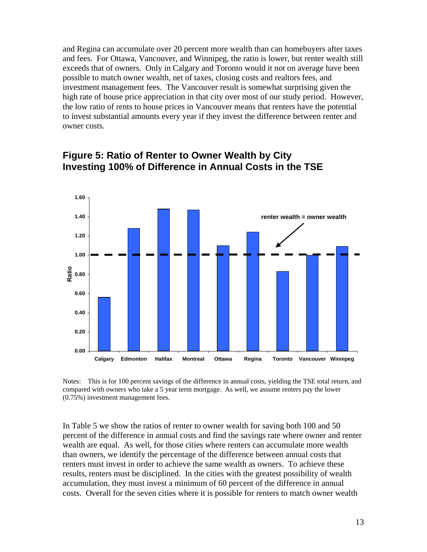and Regina can accumulate over 20 percent more wealth than can homebuyers after taxes and fees. For Ottawa, Vancouver, and Winnipeg, the ratio is lower, but renter wealth still exceeds that of owners. Only in Calgary and Toronto would it not on average have been possible to match owner wealth, net of taxes, closing costs and realtors fees, and investment management fees. The Vancouver result is somewhat surprising given the high rate of house price appreciation in that city over most of our study period. However, the low ratio of rents to house prices in Vancouver means that renters have the potential to invest substantial amounts every year if they invest the difference between renter and owner costs.



### **Figure 5: Ratio of Renter to Owner Wealth by City Investing 100% of Difference in Annual Costs in the TSE**

Notes: This is for 100 percent savings of the difference in annual costs, yielding the TSE total return, and compared with owners who take a 5 year term mortgage. As well, we assume renters pay the lower (0.75%) investment management fees.

In Table 5 we show the ratios of renter to owner wealth for saving both 100 and 50 percent of the difference in annual costs and find the savings rate where owner and renter wealth are equal. As well, for those cities where renters can accumulate more wealth than owners, we identify the percentage of the difference between annual costs that renters must invest in order to achieve the same wealth as owners. To achieve these results, renters must be disciplined. In the cities with the greatest possibility of wealth accumulation, they must invest a minimum of 60 percent of the difference in annual costs. Overall for the seven cities where it is possible for renters to match owner wealth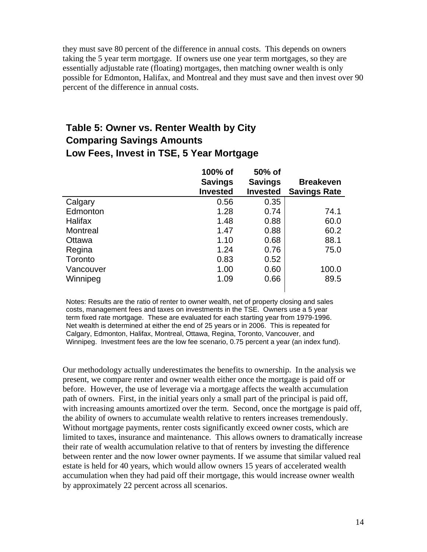they must save 80 percent of the difference in annual costs. This depends on owners taking the 5 year term mortgage. If owners use one year term mortgages, so they are essentially adjustable rate (floating) mortgages, then matching owner wealth is only possible for Edmonton, Halifax, and Montreal and they must save and then invest over 90 percent of the difference in annual costs.

### **Table 5: Owner vs. Renter Wealth by City Comparing Savings Amounts Low Fees, Invest in TSE, 5 Year Mortgage**

|                | 100% of         | 50% of          |                     |
|----------------|-----------------|-----------------|---------------------|
|                | <b>Savings</b>  | <b>Savings</b>  | <b>Breakeven</b>    |
|                | <b>Invested</b> | <b>Invested</b> | <b>Savings Rate</b> |
| Calgary        | 0.56            | 0.35            |                     |
| Edmonton       | 1.28            | 0.74            | 74.1                |
| <b>Halifax</b> | 1.48            | 0.88            | 60.0                |
| Montreal       | 1.47            | 0.88            | 60.2                |
| Ottawa         | 1.10            | 0.68            | 88.1                |
| Regina         | 1.24            | 0.76            | 75.0                |
| Toronto        | 0.83            | 0.52            |                     |
| Vancouver      | 1.00            | 0.60            | 100.0               |
| Winnipeg       | 1.09            | 0.66            | 89.5                |

Notes: Results are the ratio of renter to owner wealth, net of property closing and sales costs, management fees and taxes on investments in the TSE. Owners use a 5 year term fixed rate mortgage. These are evaluated for each starting year from 1979-1996. Net wealth is determined at either the end of 25 years or in 2006. This is repeated for Calgary, Edmonton, Halifax, Montreal, Ottawa, Regina, Toronto, Vancouver, and Winnipeg. Investment fees are the low fee scenario, 0.75 percent a year (an index fund).

Our methodology actually underestimates the benefits to ownership. In the analysis we present, we compare renter and owner wealth either once the mortgage is paid off or before. However, the use of leverage via a mortgage affects the wealth accumulation path of owners. First, in the initial years only a small part of the principal is paid off, with increasing amounts amortized over the term. Second, once the mortgage is paid off, the ability of owners to accumulate wealth relative to renters increases tremendously. Without mortgage payments, renter costs significantly exceed owner costs, which are limited to taxes, insurance and maintenance. This allows owners to dramatically increase their rate of wealth accumulation relative to that of renters by investing the difference between renter and the now lower owner payments. If we assume that similar valued real estate is held for 40 years, which would allow owners 15 years of accelerated wealth accumulation when they had paid off their mortgage, this would increase owner wealth by approximately 22 percent across all scenarios.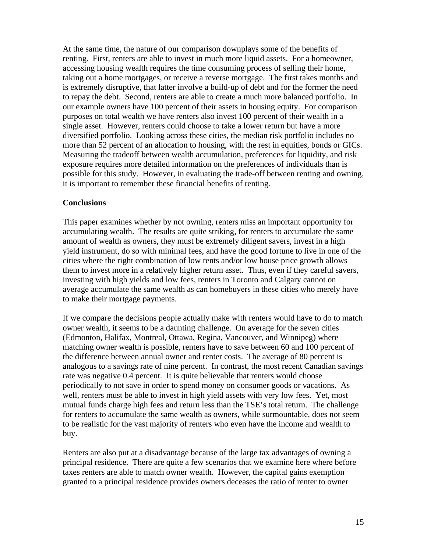At the same time, the nature of our comparison downplays some of the benefits of renting. First, renters are able to invest in much more liquid assets. For a homeowner, accessing housing wealth requires the time consuming process of selling their home, taking out a home mortgages, or receive a reverse mortgage. The first takes months and is extremely disruptive, that latter involve a build-up of debt and for the former the need to repay the debt. Second, renters are able to create a much more balanced portfolio. In our example owners have 100 percent of their assets in housing equity. For comparison purposes on total wealth we have renters also invest 100 percent of their wealth in a single asset. However, renters could choose to take a lower return but have a more diversified portfolio. Looking across these cities, the median risk portfolio includes no more than 52 percent of an allocation to housing, with the rest in equities, bonds or GICs. Measuring the tradeoff between wealth accumulation, preferences for liquidity, and risk exposure requires more detailed information on the preferences of individuals than is possible for this study. However, in evaluating the trade-off between renting and owning, it is important to remember these financial benefits of renting.

#### **Conclusions**

This paper examines whether by not owning, renters miss an important opportunity for accumulating wealth. The results are quite striking, for renters to accumulate the same amount of wealth as owners, they must be extremely diligent savers, invest in a high yield instrument, do so with minimal fees, and have the good fortune to live in one of the cities where the right combination of low rents and/or low house price growth allows them to invest more in a relatively higher return asset. Thus, even if they careful savers, investing with high yields and low fees, renters in Toronto and Calgary cannot on average accumulate the same wealth as can homebuyers in these cities who merely have to make their mortgage payments.

If we compare the decisions people actually make with renters would have to do to match owner wealth, it seems to be a daunting challenge. On average for the seven cities (Edmonton, Halifax, Montreal, Ottawa, Regina, Vancouver, and Winnipeg) where matching owner wealth is possible, renters have to save between 60 and 100 percent of the difference between annual owner and renter costs. The average of 80 percent is analogous to a savings rate of nine percent. In contrast, the most recent Canadian savings rate was negative 0.4 percent. It is quite believable that renters would choose periodically to not save in order to spend money on consumer goods or vacations. As well, renters must be able to invest in high yield assets with very low fees. Yet, most mutual funds charge high fees and return less than the TSE's total return. The challenge for renters to accumulate the same wealth as owners, while surmountable, does not seem to be realistic for the vast majority of renters who even have the income and wealth to buy.

Renters are also put at a disadvantage because of the large tax advantages of owning a principal residence. There are quite a few scenarios that we examine here where before taxes renters are able to match owner wealth. However, the capital gains exemption granted to a principal residence provides owners deceases the ratio of renter to owner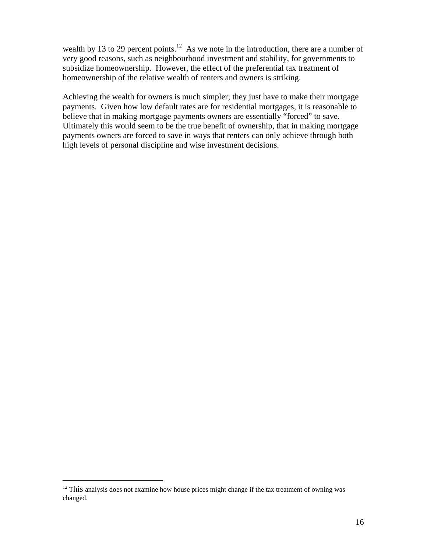wealth by 13 to 29 percent points.<sup>12</sup> As we note in the introduction, there are a number of very good reasons, such as neighbourhood investment and stability, for governments to subsidize homeownership. However, the effect of the preferential tax treatment of homeownership of the relative wealth of renters and owners is striking.

Achieving the wealth for owners is much simpler; they just have to make their mortgage payments. Given how low default rates are for residential mortgages, it is reasonable to believe that in making mortgage payments owners are essentially "forced" to save. Ultimately this would seem to be the true benefit of ownership, that in making mortgage payments owners are forced to save in ways that renters can only achieve through both high levels of personal discipline and wise investment decisions.

 $\overline{a}$ 

 $12$  This analysis does not examine how house prices might change if the tax treatment of owning was changed.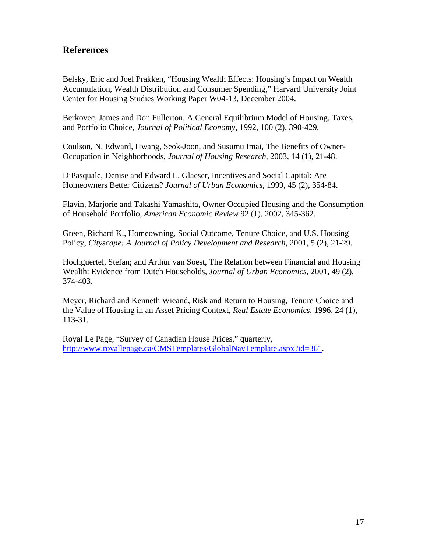### **References**

Belsky, Eric and Joel Prakken, "Housing Wealth Effects: Housing's Impact on Wealth Accumulation, Wealth Distribution and Consumer Spending," Harvard University Joint Center for Housing Studies Working Paper W04-13, December 2004.

Berkovec, James and Don Fullerton, A General Equilibrium Model of Housing, Taxes, and Portfolio Choice, *Journal of Political Economy*, 1992, 100 (2), 390-429,

Coulson, N. Edward, Hwang, Seok-Joon, and Susumu Imai, The Benefits of Owner-Occupation in Neighborhoods, *Journal of Housing Research*, 2003, 14 (1), 21-48.

DiPasquale, Denise and Edward L. Glaeser, Incentives and Social Capital: Are Homeowners Better Citizens? *Journal of Urban Economics*, 1999, 45 (2), 354-84.

Flavin, Marjorie and Takashi Yamashita, Owner Occupied Housing and the Consumption of Household Portfolio, *American Economic Review* 92 (1), 2002, 345-362.

Green, Richard K., Homeowning, Social Outcome, Tenure Choice, and U.S. Housing Policy, *Cityscape: A Journal of Policy Development and Research*, 2001, 5 (2), 21-29.

Hochguertel, Stefan; and Arthur van Soest, The Relation between Financial and Housing Wealth: Evidence from Dutch Households, *Journal of Urban Economics*, 2001, 49 (2), 374-403.

Meyer, Richard and Kenneth Wieand, Risk and Return to Housing, Tenure Choice and the Value of Housing in an Asset Pricing Context, *Real Estate Economics*, 1996, 24 (1), 113-31.

Royal Le Page, "Survey of Canadian House Prices," quarterly, http://www.royallepage.ca/CMSTemplates/GlobalNavTemplate.aspx?id=361.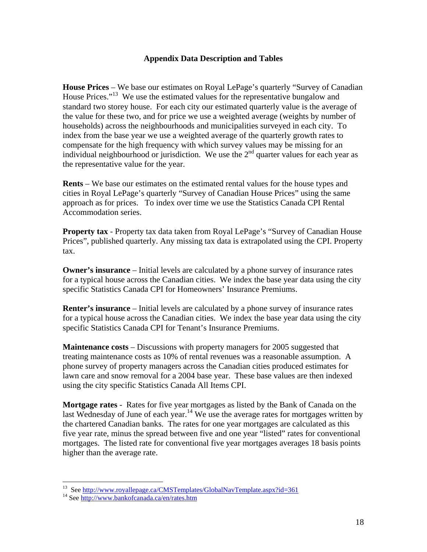#### **Appendix Data Description and Tables**

**House Prices** – We base our estimates on Royal LePage's quarterly "Survey of Canadian House Prices."<sup>13</sup> We use the estimated values for the representative bungalow and standard two storey house. For each city our estimated quarterly value is the average of the value for these two, and for price we use a weighted average (weights by number of households) across the neighbourhoods and municipalities surveyed in each city. To index from the base year we use a weighted average of the quarterly growth rates to compensate for the high frequency with which survey values may be missing for an individual neighbourhood or jurisdiction. We use the  $2<sup>nd</sup>$  quarter values for each year as the representative value for the year.

**Rents** – We base our estimates on the estimated rental values for the house types and cities in Royal LePage's quarterly "Survey of Canadian House Prices" using the same approach as for prices. To index over time we use the Statistics Canada CPI Rental Accommodation series.

**Property tax** - Property tax data taken from Royal LePage's "Survey of Canadian House Prices", published quarterly. Any missing tax data is extrapolated using the CPI. Property tax.

**Owner's insurance** – Initial levels are calculated by a phone survey of insurance rates for a typical house across the Canadian cities. We index the base year data using the city specific Statistics Canada CPI for Homeowners' Insurance Premiums.

**Renter's insurance** – Initial levels are calculated by a phone survey of insurance rates for a typical house across the Canadian cities. We index the base year data using the city specific Statistics Canada CPI for Tenant's Insurance Premiums.

**Maintenance costs** – Discussions with property managers for 2005 suggested that treating maintenance costs as 10% of rental revenues was a reasonable assumption. A phone survey of property managers across the Canadian cities produced estimates for lawn care and snow removal for a 2004 base year. These base values are then indexed using the city specific Statistics Canada All Items CPI.

**Mortgage rates** - Rates for five year mortgages as listed by the Bank of Canada on the last Wednesday of June of each year.<sup>14</sup> We use the average rates for mortgages written by the chartered Canadian banks. The rates for one year mortgages are calculated as this five year rate, minus the spread between five and one year "listed" rates for conventional mortgages. The listed rate for conventional five year mortgages averages 18 basis points higher than the average rate.

 $\overline{a}$ 

<sup>&</sup>lt;sup>13</sup> See http://www.royallepage.ca/CMSTemplates/GlobalNavTemplate.aspx?id=361<br><sup>14</sup> See http://www.bankofcanada.ca/en/rates.htm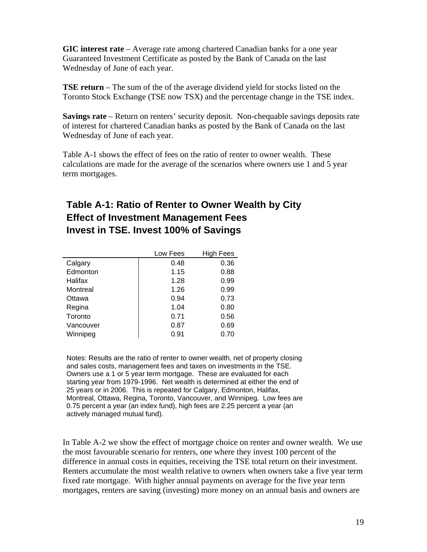**GIC interest rate** – Average rate among chartered Canadian banks for a one year Guaranteed Investment Certificate as posted by the Bank of Canada on the last Wednesday of June of each year.

**TSE return** – The sum of the of the average dividend yield for stocks listed on the Toronto Stock Exchange (TSE now TSX) and the percentage change in the TSE index.

**Savings rate** – Return on renters' security deposit. Non-chequable savings deposits rate of interest for chartered Canadian banks as posted by the Bank of Canada on the last Wednesday of June of each year.

Table A-1 shows the effect of fees on the ratio of renter to owner wealth. These calculations are made for the average of the scenarios where owners use 1 and 5 year term mortgages.

## **Table A-1: Ratio of Renter to Owner Wealth by City Effect of Investment Management Fees Invest in TSE. Invest 100% of Savings**

|           | Low Fees | <b>High Fees</b> |
|-----------|----------|------------------|
| Calgary   | 0.48     | 0.36             |
| Edmonton  | 1.15     | 0.88             |
| Halifax   | 1.28     | 0.99             |
| Montreal  | 1.26     | 0.99             |
| Ottawa    | 0.94     | 0.73             |
| Regina    | 1.04     | 0.80             |
| Toronto   | 0.71     | 0.56             |
| Vancouver | 0.87     | 0.69             |
| Winnipeg  | 0.91     | 0.70             |

Notes: Results are the ratio of renter to owner wealth, net of property closing and sales costs, management fees and taxes on investments in the TSE. Owners use a 1 or 5 year term mortgage. These are evaluated for each starting year from 1979-1996. Net wealth is determined at either the end of 25 years or in 2006. This is repeated for Calgary, Edmonton, Halifax, Montreal, Ottawa, Regina, Toronto, Vancouver, and Winnipeg. Low fees are 0.75 percent a year (an index fund), high fees are 2.25 percent a year (an actively managed mutual fund).

In Table A-2 we show the effect of mortgage choice on renter and owner wealth. We use the most favourable scenario for renters, one where they invest 100 percent of the difference in annual costs in equities, receiving the TSE total return on their investment. Renters accumulate the most wealth relative to owners when owners take a five year term fixed rate mortgage. With higher annual payments on average for the five year term mortgages, renters are saving (investing) more money on an annual basis and owners are